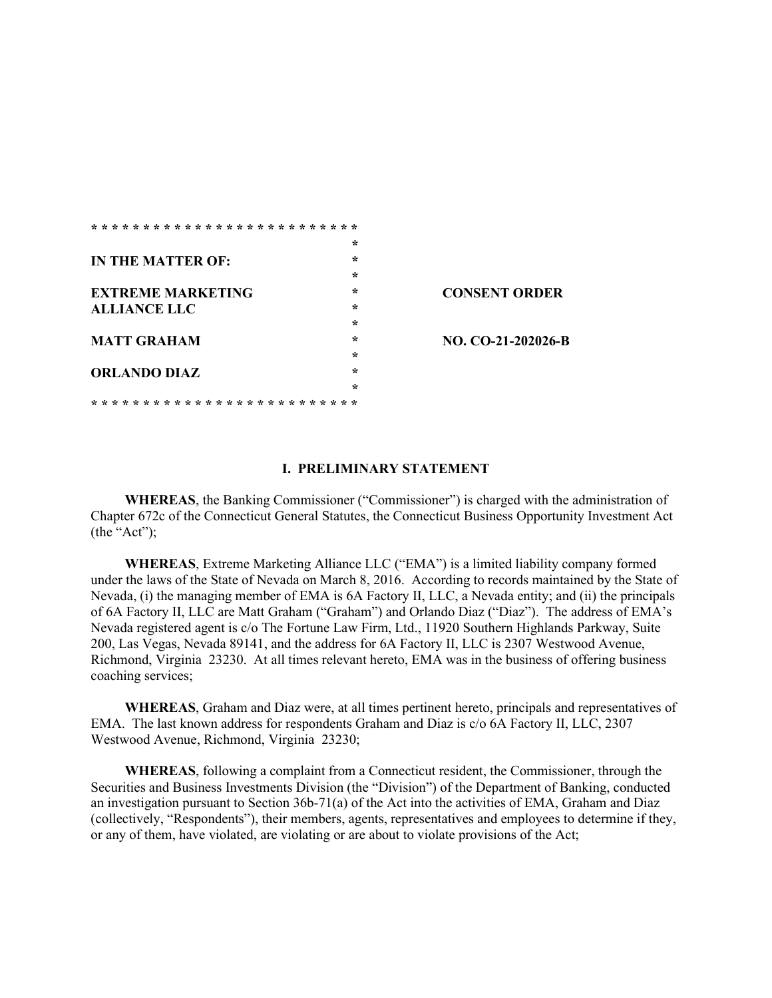| $\star$<br>$\star$<br>IN THE MATTER OF:<br>$\star$<br>$\star$<br><b>EXTREME MARKETING</b><br>$\star$<br><b>ALLIANCE LLC</b><br>$\star$<br>$\star$<br><b>MATT GRAHAM</b><br>$\star$<br>$\star$<br><b>ORLANDO DIAZ</b><br>$\star$ |  |                      |
|---------------------------------------------------------------------------------------------------------------------------------------------------------------------------------------------------------------------------------|--|----------------------|
|                                                                                                                                                                                                                                 |  |                      |
|                                                                                                                                                                                                                                 |  |                      |
|                                                                                                                                                                                                                                 |  |                      |
|                                                                                                                                                                                                                                 |  | <b>CONSENT ORDER</b> |
|                                                                                                                                                                                                                                 |  |                      |
|                                                                                                                                                                                                                                 |  |                      |
|                                                                                                                                                                                                                                 |  | NO. CO-21-202026-B   |
|                                                                                                                                                                                                                                 |  |                      |
|                                                                                                                                                                                                                                 |  |                      |
|                                                                                                                                                                                                                                 |  |                      |
|                                                                                                                                                                                                                                 |  |                      |

#### **I. PRELIMINARY STATEMENT**

**WHEREAS**, the Banking Commissioner ("Commissioner") is charged with the administration of Chapter 672c of the Connecticut General Statutes, the Connecticut Business Opportunity Investment Act (the "Act");

**WHEREAS**, Extreme Marketing Alliance LLC ("EMA") is a limited liability company formed under the laws of the State of Nevada on March 8, 2016. According to records maintained by the State of Nevada, (i) the managing member of EMA is 6A Factory II, LLC, a Nevada entity; and (ii) the principals of 6A Factory II, LLC are Matt Graham ("Graham") and Orlando Diaz ("Diaz"). The address of EMA's Nevada registered agent is c/o The Fortune Law Firm, Ltd., 11920 Southern Highlands Parkway, Suite 200, Las Vegas, Nevada 89141, and the address for 6A Factory II, LLC is 2307 Westwood Avenue, Richmond, Virginia 23230. At all times relevant hereto, EMA was in the business of offering business coaching services;

**WHEREAS**, Graham and Diaz were, at all times pertinent hereto, principals and representatives of EMA. The last known address for respondents Graham and Diaz is c/o 6A Factory II, LLC, 2307 Westwood Avenue, Richmond, Virginia 23230;

**WHEREAS**, following a complaint from a Connecticut resident, the Commissioner, through the Securities and Business Investments Division (the "Division") of the Department of Banking, conducted an investigation pursuant to Section 36b-71(a) of the Act into the activities of EMA, Graham and Diaz (collectively, "Respondents"), their members, agents, representatives and employees to determine if they, or any of them, have violated, are violating or are about to violate provisions of the Act;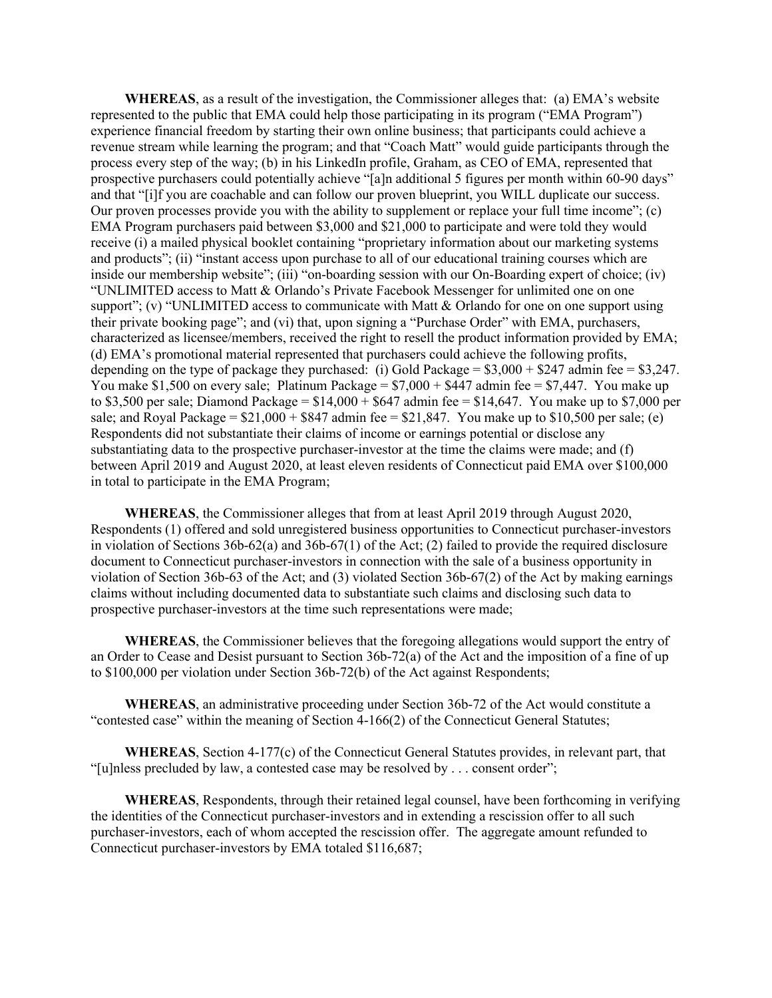**WHEREAS**, as a result of the investigation, the Commissioner alleges that: (a) EMA's website represented to the public that EMA could help those participating in its program ("EMA Program") experience financial freedom by starting their own online business; that participants could achieve a revenue stream while learning the program; and that "Coach Matt" would guide participants through the process every step of the way; (b) in his LinkedIn profile, Graham, as CEO of EMA, represented that prospective purchasers could potentially achieve "[a]n additional 5 figures per month within 60-90 days" and that "[i]f you are coachable and can follow our proven blueprint, you WILL duplicate our success. Our proven processes provide you with the ability to supplement or replace your full time income"; (c) EMA Program purchasers paid between \$3,000 and \$21,000 to participate and were told they would receive (i) a mailed physical booklet containing "proprietary information about our marketing systems and products"; (ii) "instant access upon purchase to all of our educational training courses which are inside our membership website"; (iii) "on-boarding session with our On-Boarding expert of choice; (iv) "UNLIMITED access to Matt & Orlando's Private Facebook Messenger for unlimited one on one support"; (v) "UNLIMITED access to communicate with Matt  $&$  Orlando for one on one support using their private booking page"; and (vi) that, upon signing a "Purchase Order" with EMA, purchasers, characterized as licensee/members, received the right to resell the product information provided by EMA; (d) EMA's promotional material represented that purchasers could achieve the following profits, depending on the type of package they purchased: (i) Gold Package =  $$3,000 + $247$  admin fee =  $$3,247$ . You make \$1,500 on every sale; Platinum Package =  $$7,000 + $447$  admin fee = \$7,447. You make up to \$3,500 per sale; Diamond Package =  $$14,000 + $647$  admin fee =  $$14,647$ . You make up to \$7,000 per sale; and Royal Package =  $$21,000 + $847$  admin fee =  $$21,847$ . You make up to  $$10,500$  per sale; (e) Respondents did not substantiate their claims of income or earnings potential or disclose any substantiating data to the prospective purchaser-investor at the time the claims were made; and (f) between April 2019 and August 2020, at least eleven residents of Connecticut paid EMA over \$100,000 in total to participate in the EMA Program;

**WHEREAS**, the Commissioner alleges that from at least April 2019 through August 2020, Respondents (1) offered and sold unregistered business opportunities to Connecticut purchaser-investors in violation of Sections 36b-62(a) and 36b-67(1) of the Act; (2) failed to provide the required disclosure document to Connecticut purchaser-investors in connection with the sale of a business opportunity in violation of Section 36b-63 of the Act; and (3) violated Section 36b-67(2) of the Act by making earnings claims without including documented data to substantiate such claims and disclosing such data to prospective purchaser-investors at the time such representations were made;

**WHEREAS**, the Commissioner believes that the foregoing allegations would support the entry of an Order to Cease and Desist pursuant to Section 36b-72(a) of the Act and the imposition of a fine of up to \$100,000 per violation under Section 36b-72(b) of the Act against Respondents;

**WHEREAS**, an administrative proceeding under Section 36b-72 of the Act would constitute a "contested case" within the meaning of Section 4-166(2) of the Connecticut General Statutes;

**WHEREAS**, Section 4-177(c) of the Connecticut General Statutes provides, in relevant part, that "[u]nless precluded by law, a contested case may be resolved by . . . consent order";

**WHEREAS**, Respondents, through their retained legal counsel, have been forthcoming in verifying the identities of the Connecticut purchaser-investors and in extending a rescission offer to all such purchaser-investors, each of whom accepted the rescission offer. The aggregate amount refunded to Connecticut purchaser-investors by EMA totaled \$116,687;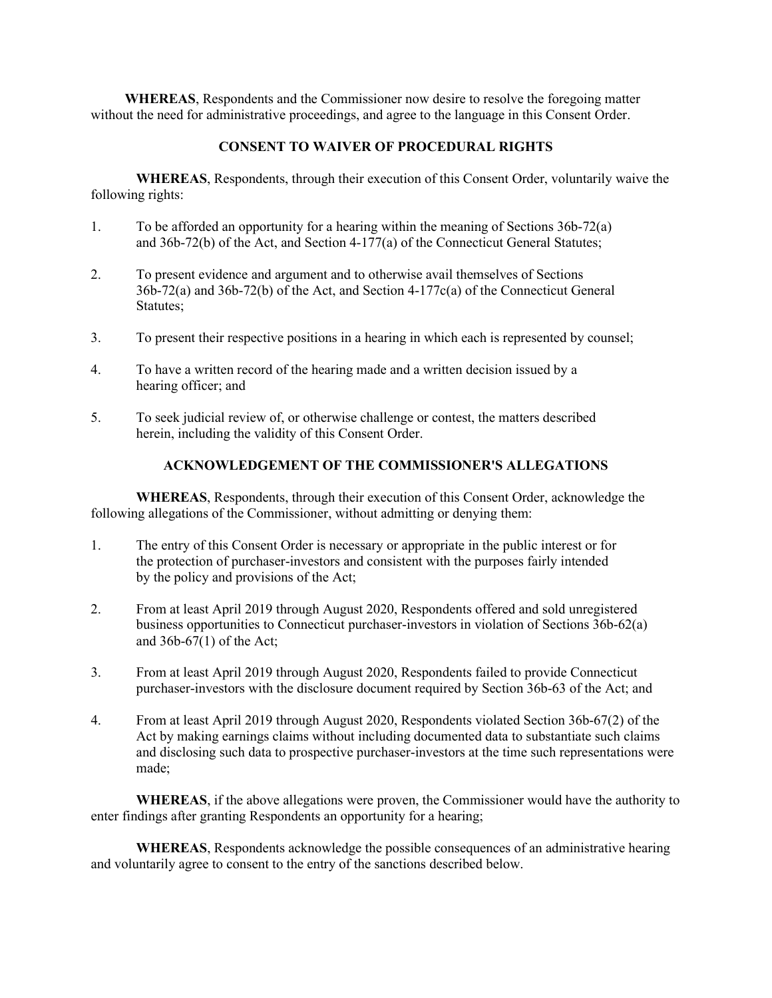**WHEREAS**, Respondents and the Commissioner now desire to resolve the foregoing matter without the need for administrative proceedings, and agree to the language in this Consent Order.

## **CONSENT TO WAIVER OF PROCEDURAL RIGHTS**

**WHEREAS**, Respondents, through their execution of this Consent Order, voluntarily waive the following rights:

- 1. To be afforded an opportunity for a hearing within the meaning of Sections 36b-72(a) and 36b-72(b) of the Act, and Section 4-177(a) of the Connecticut General Statutes;
- 2. To present evidence and argument and to otherwise avail themselves of Sections 36b-72(a) and 36b-72(b) of the Act, and Section 4-177c(a) of the Connecticut General Statutes;
- 3. To present their respective positions in a hearing in which each is represented by counsel;
- 4. To have a written record of the hearing made and a written decision issued by a hearing officer; and
- 5. To seek judicial review of, or otherwise challenge or contest, the matters described herein, including the validity of this Consent Order.

### **ACKNOWLEDGEMENT OF THE COMMISSIONER'S ALLEGATIONS**

**WHEREAS**, Respondents, through their execution of this Consent Order, acknowledge the following allegations of the Commissioner, without admitting or denying them:

- 1. The entry of this Consent Order is necessary or appropriate in the public interest or for the protection of purchaser-investors and consistent with the purposes fairly intended by the policy and provisions of the Act;
- 2. From at least April 2019 through August 2020, Respondents offered and sold unregistered business opportunities to Connecticut purchaser-investors in violation of Sections 36b-62(a) and  $36b-67(1)$  of the Act;
- 3. From at least April 2019 through August 2020, Respondents failed to provide Connecticut purchaser-investors with the disclosure document required by Section 36b-63 of the Act; and
- 4. From at least April 2019 through August 2020, Respondents violated Section 36b-67(2) of the Act by making earnings claims without including documented data to substantiate such claims and disclosing such data to prospective purchaser-investors at the time such representations were made;

**WHEREAS**, if the above allegations were proven, the Commissioner would have the authority to enter findings after granting Respondents an opportunity for a hearing;

**WHEREAS**, Respondents acknowledge the possible consequences of an administrative hearing and voluntarily agree to consent to the entry of the sanctions described below.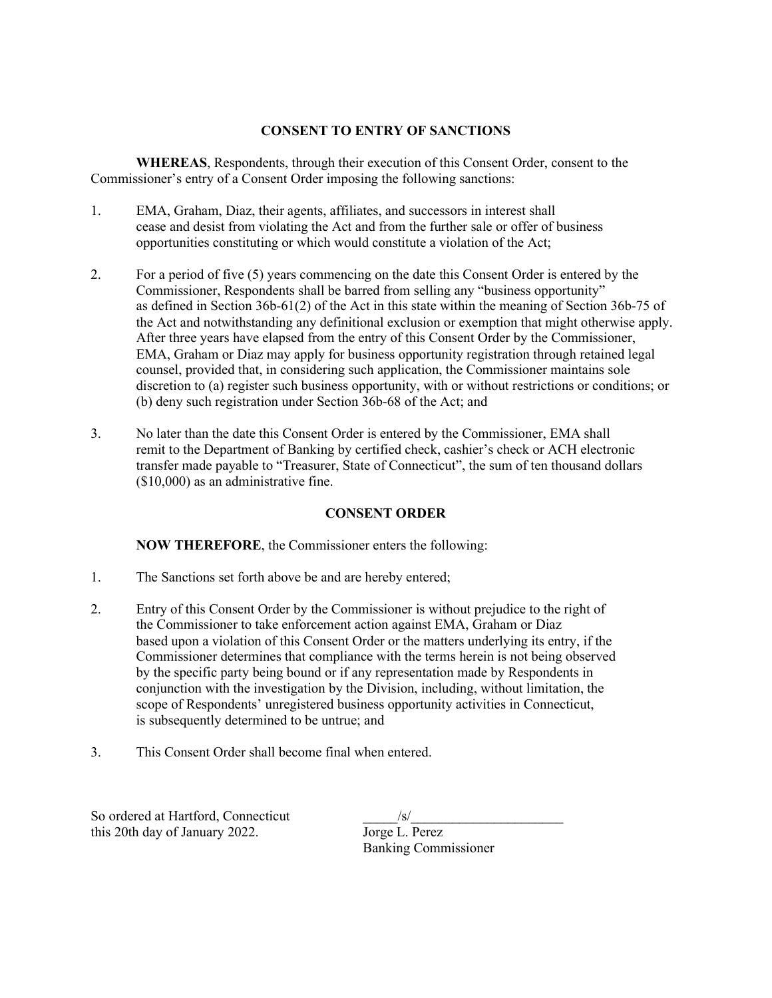# **CONSENT TO ENTRY OF SANCTIONS**

**WHEREAS**, Respondents, through their execution of this Consent Order, consent to the Commissioner's entry of a Consent Order imposing the following sanctions:

- 1. EMA, Graham, Diaz, their agents, affiliates, and successors in interest shall cease and desist from violating the Act and from the further sale or offer of business opportunities constituting or which would constitute a violation of the Act;
- 2. For a period of five (5) years commencing on the date this Consent Order is entered by the Commissioner, Respondents shall be barred from selling any "business opportunity" as defined in Section 36b-61(2) of the Act in this state within the meaning of Section 36b-75 of the Act and notwithstanding any definitional exclusion or exemption that might otherwise apply. After three years have elapsed from the entry of this Consent Order by the Commissioner, EMA, Graham or Diaz may apply for business opportunity registration through retained legal counsel, provided that, in considering such application, the Commissioner maintains sole discretion to (a) register such business opportunity, with or without restrictions or conditions; or (b) deny such registration under Section 36b-68 of the Act; and
- 3. No later than the date this Consent Order is entered by the Commissioner, EMA shall remit to the Department of Banking by certified check, cashier's check or ACH electronic transfer made payable to "Treasurer, State of Connecticut", the sum of ten thousand dollars (\$10,000) as an administrative fine.

# **CONSENT ORDER**

**NOW THEREFORE**, the Commissioner enters the following:

- 1. The Sanctions set forth above be and are hereby entered;
- 2. Entry of this Consent Order by the Commissioner is without prejudice to the right of the Commissioner to take enforcement action against EMA, Graham or Diaz based upon a violation of this Consent Order or the matters underlying its entry, if the Commissioner determines that compliance with the terms herein is not being observed by the specific party being bound or if any representation made by Respondents in conjunction with the investigation by the Division, including, without limitation, the scope of Respondents' unregistered business opportunity activities in Connecticut, is subsequently determined to be untrue; and
- 3. This Consent Order shall become final when entered.

So ordered at Hartford, Connecticut this 20th day of January 2022.

| $\sqrt{s}$                  |  |
|-----------------------------|--|
| Jorge L. Perez              |  |
| <b>Banking Commissioner</b> |  |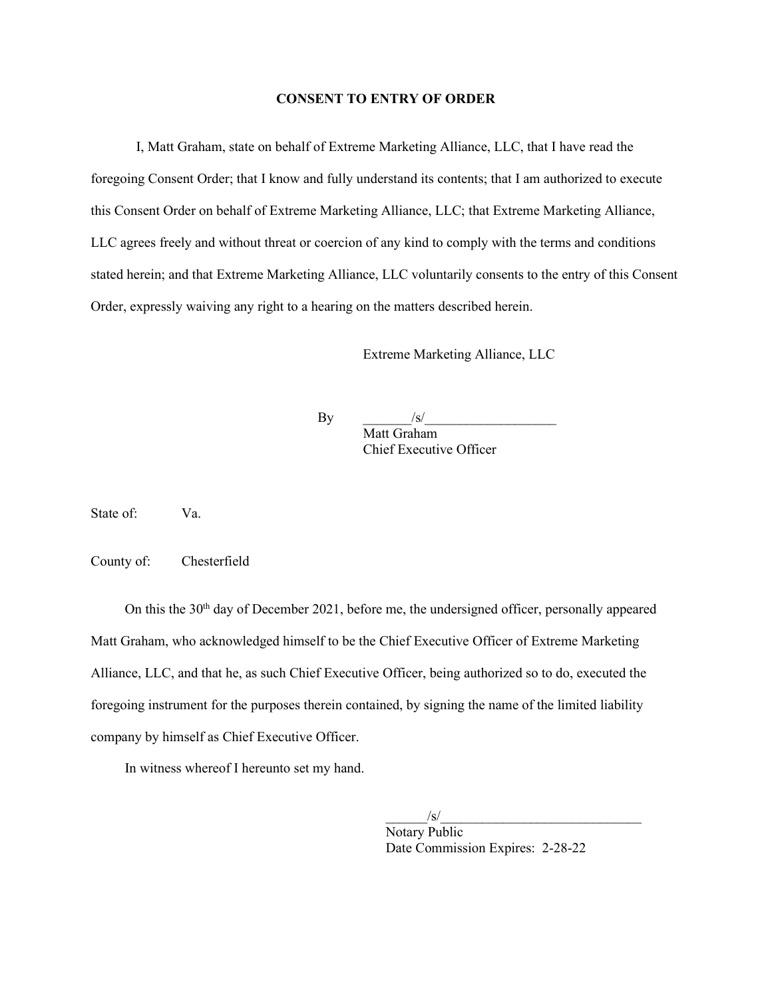### **CONSENT TO ENTRY OF ORDER**

I, Matt Graham, state on behalf of Extreme Marketing Alliance, LLC, that I have read the foregoing Consent Order; that I know and fully understand its contents; that I am authorized to execute this Consent Order on behalf of Extreme Marketing Alliance, LLC; that Extreme Marketing Alliance, LLC agrees freely and without threat or coercion of any kind to comply with the terms and conditions stated herein; and that Extreme Marketing Alliance, LLC voluntarily consents to the entry of this Consent Order, expressly waiving any right to a hearing on the matters described herein.

Extreme Marketing Alliance, LLC

 $\mathbf{By}$   $\qquad \qquad$   $\qquad$   $\qquad$   $\qquad$   $\qquad$   $\qquad$   $\qquad$   $\qquad$   $\qquad$   $\qquad$   $\qquad$   $\qquad$   $\qquad$   $\qquad$   $\qquad$   $\qquad$   $\qquad$   $\qquad$   $\qquad$   $\qquad$   $\qquad$   $\qquad$   $\qquad$   $\qquad$   $\qquad$   $\qquad$   $\qquad$   $\qquad$   $\qquad$   $\qquad$   $\qquad$   $\qquad$   $\qquad$   $\qquad$   $\qquad$ Matt Graham Chief Executive Officer

State of: Va.

County of: Chesterfield

On this the  $30<sup>th</sup>$  day of December 2021, before me, the undersigned officer, personally appeared Matt Graham, who acknowledged himself to be the Chief Executive Officer of Extreme Marketing Alliance, LLC, and that he, as such Chief Executive Officer, being authorized so to do, executed the foregoing instrument for the purposes therein contained, by signing the name of the limited liability company by himself as Chief Executive Officer.

In witness whereof I hereunto set my hand.

 $\sqrt{s}/\sqrt{s}$ Notary Public Date Commission Expires: 2-28-22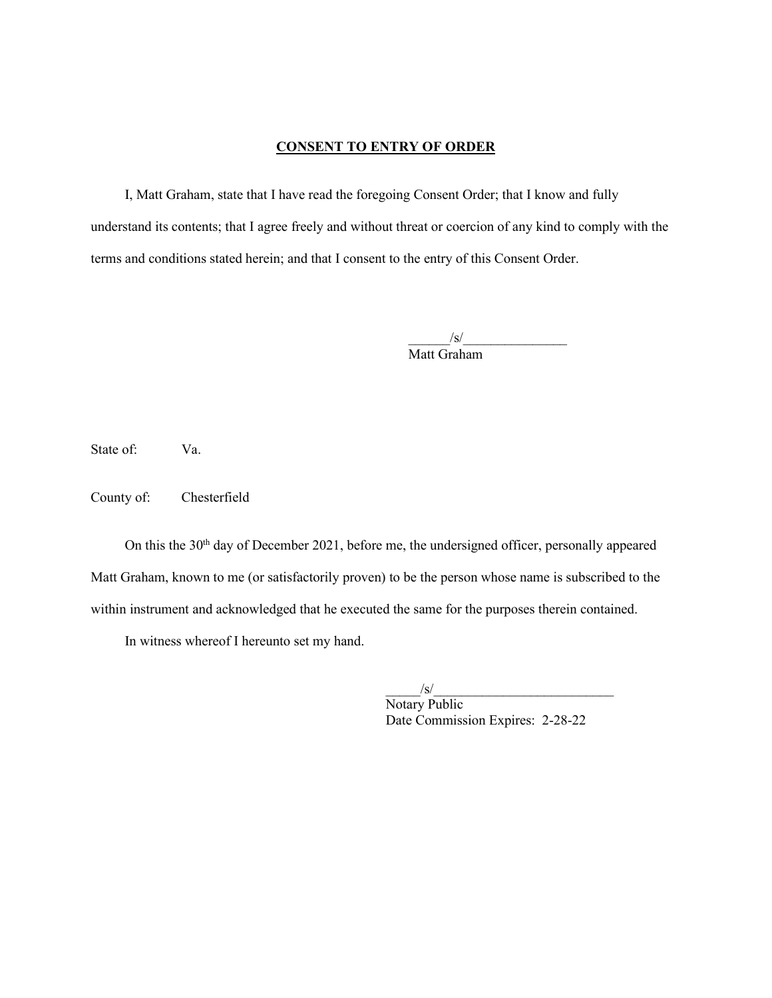### **CONSENT TO ENTRY OF ORDER**

I, Matt Graham, state that I have read the foregoing Consent Order; that I know and fully understand its contents; that I agree freely and without threat or coercion of any kind to comply with the terms and conditions stated herein; and that I consent to the entry of this Consent Order.

> $/\mathrm{s}/$ Matt Graham

State of: Va.

County of: Chesterfield

On this the 30<sup>th</sup> day of December 2021, before me, the undersigned officer, personally appeared Matt Graham, known to me (or satisfactorily proven) to be the person whose name is subscribed to the within instrument and acknowledged that he executed the same for the purposes therein contained.

In witness whereof I hereunto set my hand.

 $/\mathrm{s}/$ Notary Public Date Commission Expires: 2-28-22